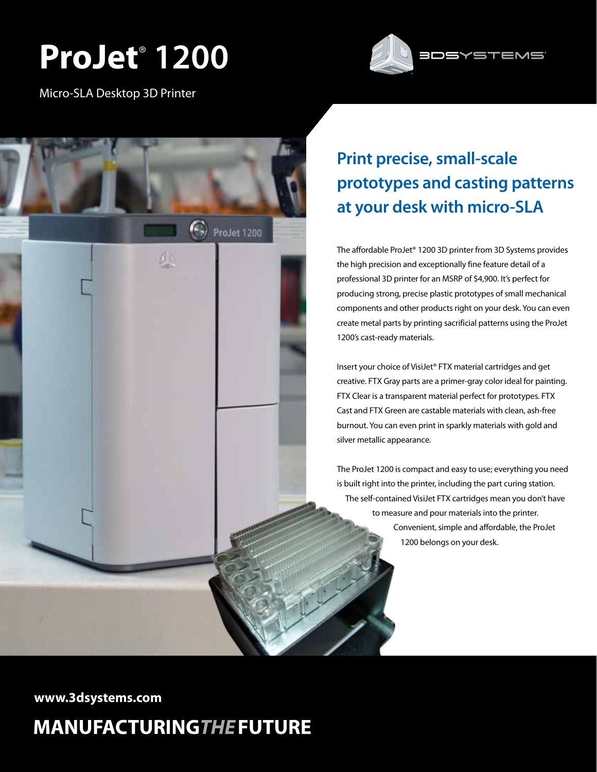# **ProJet**®  **1200**



Micro-SLA Desktop 3D Printer



## **Print precise, small-scale prototypes and casting patterns at your desk with micro-SLA**

The affordable ProJet® 1200 3D printer from 3D Systems provides the high precision and exceptionally fine feature detail of a professional 3D printer for an MSRP of \$4,900. It's perfect for producing strong, precise plastic prototypes of small mechanical components and other products right on your desk. You can even create metal parts by printing sacrificial patterns using the ProJet 1200's cast-ready materials.

Insert your choice of VisiJet® FTX material cartridges and get creative. FTX Gray parts are a primer-gray color ideal for painting. FTX Clear is a transparent material perfect for prototypes. FTX Cast and FTX Green are castable materials with clean, ash-free burnout. You can even print in sparkly materials with gold and silver metallic appearance.

The ProJet 1200 is compact and easy to use; everything you need is built right into the printer, including the part curing station. The self-contained VisiJet FTX cartridges mean you don't have to measure and pour materials into the printer. Convenient, simple and affordable, the ProJet 1200 belongs on your desk.

**www.3dsystems.com**

## **MANUFACTURINGTHE FUTURE**